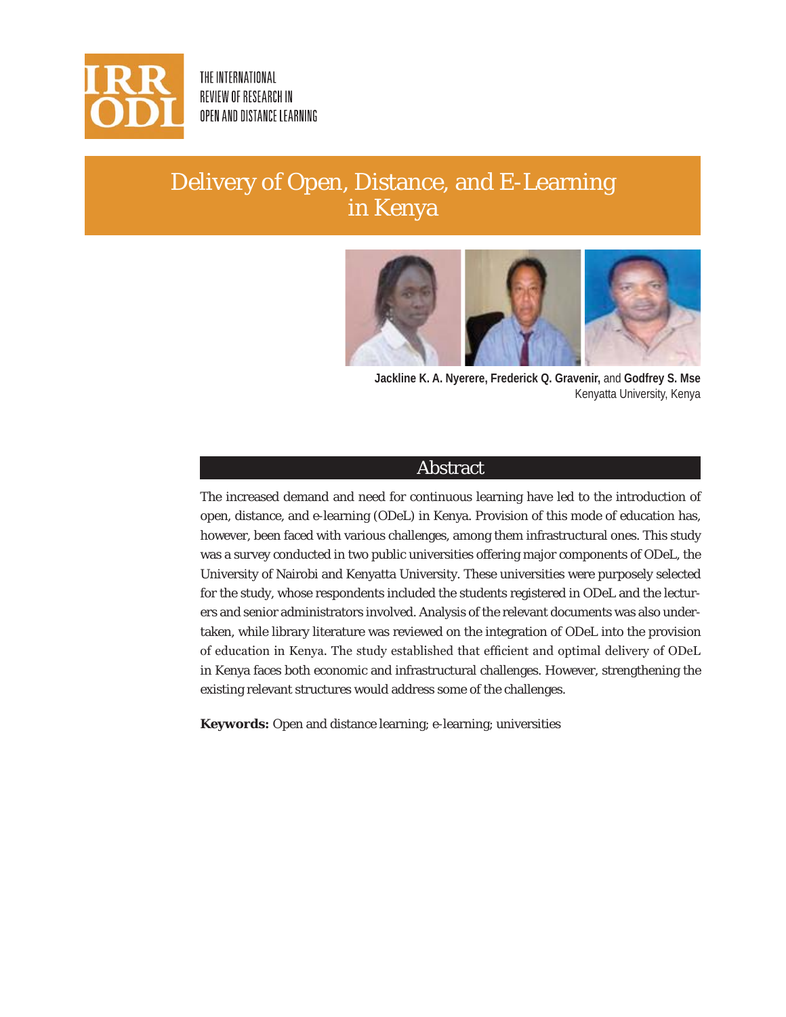

THE INTERNATIONAL REVIEW OF RESEARCH IN OPEN AND DISTANCE LEARNING

# Delivery of Open, Distance, and E-Learning in Kenya



**Jackline K. A. Nyerere, Frederick Q. Gravenir,** and **Godfrey S. Mse**  Kenyatta University, Kenya

## Abstract

The increased demand and need for continuous learning have led to the introduction of open, distance, and e-learning (ODeL) in Kenya. Provision of this mode of education has, however, been faced with various challenges, among them infrastructural ones. This study was a survey conducted in two public universities offering major components of ODeL, the University of Nairobi and Kenyatta University. These universities were purposely selected for the study, whose respondents included the students registered in ODeL and the lecturers and senior administrators involved. Analysis of the relevant documents was also undertaken, while library literature was reviewed on the integration of ODeL into the provision of education in Kenya. The study established that efficient and optimal delivery of ODeL in Kenya faces both economic and infrastructural challenges. However, strengthening the existing relevant structures would address some of the challenges.

**Keywords:** Open and distance learning; e-learning; universities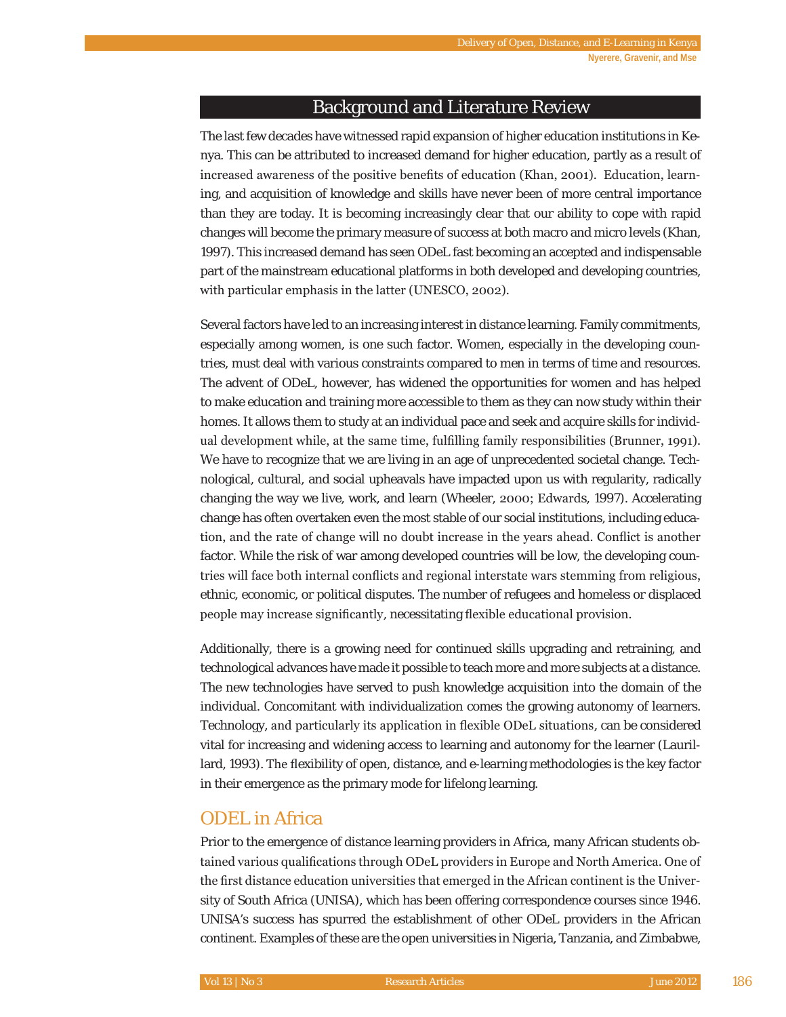## Background and Literature Review

The last few decades have witnessed rapid expansion of higher education institutions in Kenya. This can be attributed to increased demand for higher education, partly as a result of increased awareness of the positive benefits of education (Khan, 2001). Education, learning, and acquisition of knowledge and skills have never been of more central importance than they are today. It is becoming increasingly clear that our ability to cope with rapid changes will become the primary measure of success at both macro and micro levels (Khan, 1997). This increased demand has seen ODeL fast becoming an accepted and indispensable part of the mainstream educational platforms in both developed and developing countries, with particular emphasis in the latter (UNESCO, 2002).

Several factors have led to an increasing interest in distance learning. Family commitments, especially among women, is one such factor. Women, especially in the developing countries, must deal with various constraints compared to men in terms of time and resources. The advent of ODeL, however, has widened the opportunities for women and has helped to make education and training more accessible to them as they can now study within their homes. It allows them to study at an individual pace and seek and acquire skills for individual development while, at the same time, fulfilling family responsibilities (Brunner, 1991). We have to recognize that we are living in an age of unprecedented societal change. Technological, cultural, and social upheavals have impacted upon us with regularity, radically changing the way we live, work, and learn (Wheeler, 2000; Edwards, 1997). Accelerating change has often overtaken even the most stable of our social institutions, including education, and the rate of change will no doubt increase in the years ahead. Conflict is another factor. While the risk of war among developed countries will be low, the developing countries will face both internal conflicts and regional interstate wars stemming from religious, ethnic, economic, or political disputes. The number of refugees and homeless or displaced people may increase significantly, necessitating flexible educational provision.

Additionally, there is a growing need for continued skills upgrading and retraining, and technological advances have made it possible to teach more and more subjects at a distance. The new technologies have served to push knowledge acquisition into the domain of the individual. Concomitant with individualization comes the growing autonomy of learners. Technology, and particularly its application in flexible ODeL situations, can be considered vital for increasing and widening access to learning and autonomy for the learner (Laurillard, 1993). The flexibility of open, distance, and e-learning methodologies is the key factor in their emergence as the primary mode for lifelong learning.

#### ODEL in Africa

Prior to the emergence of distance learning providers in Africa, many African students obtained various qualifications through ODeL providers in Europe and North America. One of the first distance education universities that emerged in the African continent is the University of South Africa (UNISA), which has been offering correspondence courses since 1946. UNISA's success has spurred the establishment of other ODeL providers in the African continent. Examples of these are the open universities in Nigeria, Tanzania, and Zimbabwe,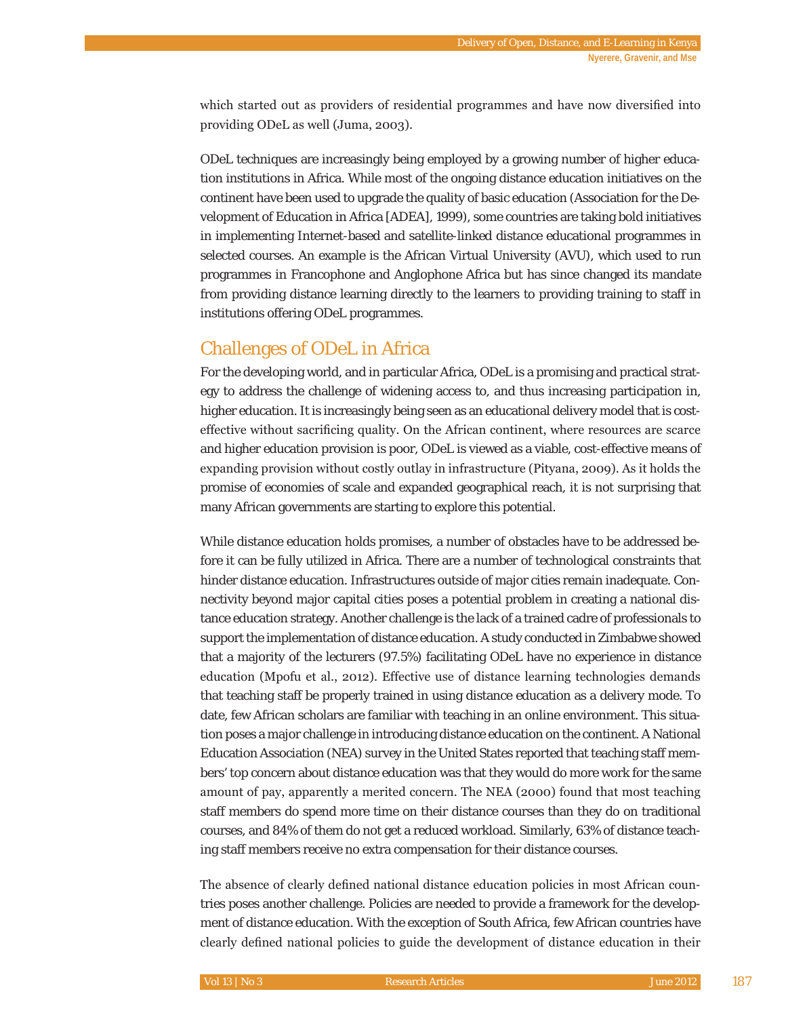which started out as providers of residential programmes and have now diversified into providing ODeL as well (Juma, 2003).

ODeL techniques are increasingly being employed by a growing number of higher education institutions in Africa. While most of the ongoing distance education initiatives on the continent have been used to upgrade the quality of basic education (Association for the Development of Education in Africa [ADEA], 1999), some countries are taking bold initiatives in implementing Internet-based and satellite-linked distance educational programmes in selected courses. An example is the African Virtual University (AVU), which used to run programmes in Francophone and Anglophone Africa but has since changed its mandate from providing distance learning directly to the learners to providing training to staff in institutions offering ODeL programmes.

# Challenges of ODeL in Africa

For the developing world, and in particular Africa, ODeL is a promising and practical strategy to address the challenge of widening access to, and thus increasing participation in, higher education. It is increasingly being seen as an educational delivery model that is costeffective without sacrificing quality. On the African continent, where resources are scarce and higher education provision is poor, ODeL is viewed as a viable, cost-effective means of expanding provision without costly outlay in infrastructure (Pityana, 2009). As it holds the promise of economies of scale and expanded geographical reach, it is not surprising that many African governments are starting to explore this potential.

While distance education holds promises, a number of obstacles have to be addressed before it can be fully utilized in Africa. There are a number of technological constraints that hinder distance education. Infrastructures outside of major cities remain inadequate. Connectivity beyond major capital cities poses a potential problem in creating a national distance education strategy. Another challenge is the lack of a trained cadre of professionals to support the implementation of distance education. A study conducted in Zimbabwe showed that a majority of the lecturers (97.5%) facilitating ODeL have no experience in distance education (Mpofu et al., 2012). Effective use of distance learning technologies demands that teaching staff be properly trained in using distance education as a delivery mode. To date, few African scholars are familiar with teaching in an online environment. This situation poses a major challenge in introducing distance education on the continent. A National Education Association (NEA) survey in the United States reported that teaching staff members' top concern about distance education was that they would do more work for the same amount of pay, apparently a merited concern. The NEA (2000) found that most teaching staff members do spend more time on their distance courses than they do on traditional courses, and 84% of them do not get a reduced workload. Similarly, 63% of distance teaching staff members receive no extra compensation for their distance courses.

The absence of clearly defined national distance education policies in most African countries poses another challenge. Policies are needed to provide a framework for the development of distance education. With the exception of South Africa, few African countries have clearly defined national policies to guide the development of distance education in their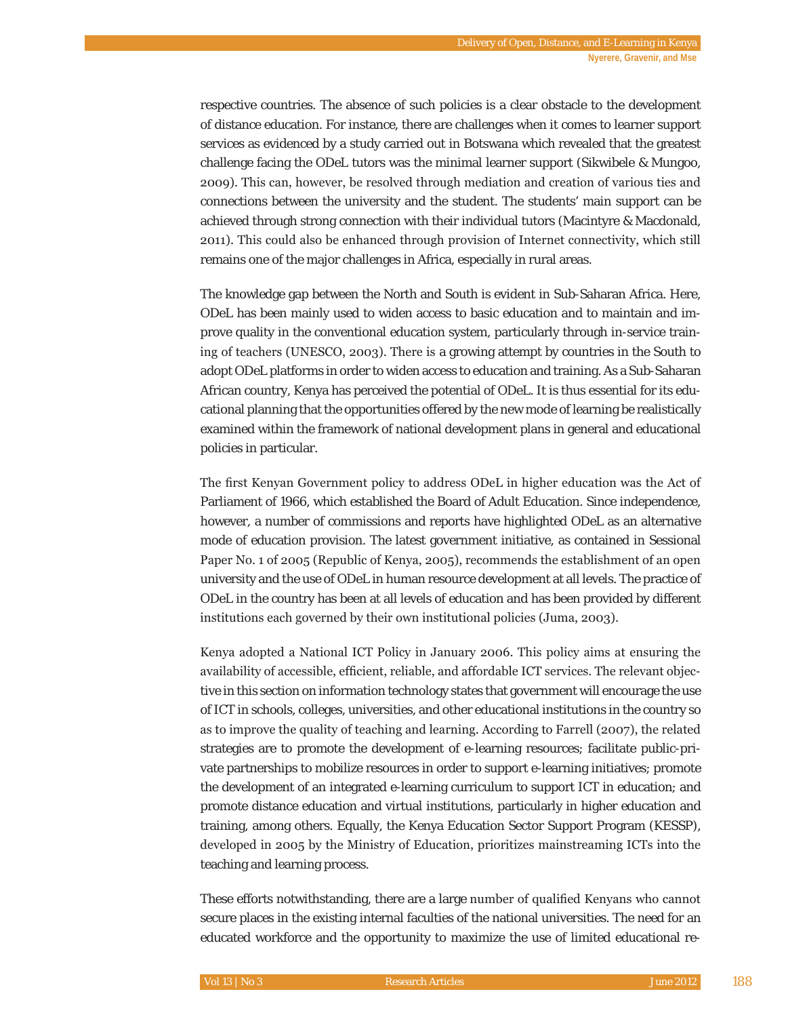respective countries. The absence of such policies is a clear obstacle to the development of distance education. For instance, there are challenges when it comes to learner support services as evidenced by a study carried out in Botswana which revealed that the greatest challenge facing the ODeL tutors was the minimal learner support (Sikwibele & Mungoo, 2009). This can, however, be resolved through mediation and creation of various ties and connections between the university and the student. The students' main support can be achieved through strong connection with their individual tutors (Macintyre & Macdonald, 2011). This could also be enhanced through provision of Internet connectivity, which still remains one of the major challenges in Africa, especially in rural areas.

The knowledge gap between the North and South is evident in Sub-Saharan Africa. Here, ODeL has been mainly used to widen access to basic education and to maintain and improve quality in the conventional education system, particularly through in-service training of teachers (UNESCO, 2003). There is a growing attempt by countries in the South to adopt ODeL platforms in order to widen access to education and training. As a Sub-Saharan African country, Kenya has perceived the potential of ODeL. It is thus essential for its educational planning that the opportunities offered by the new mode of learning be realistically examined within the framework of national development plans in general and educational policies in particular.

The first Kenyan Government policy to address ODeL in higher education was the Act of Parliament of 1966, which established the Board of Adult Education. Since independence, however, a number of commissions and reports have highlighted ODeL as an alternative mode of education provision. The latest government initiative, as contained in Sessional Paper No. 1 of 2005 (Republic of Kenya, 2005), recommends the establishment of an open university and the use of ODeL in human resource development at all levels. The practice of ODeL in the country has been at all levels of education and has been provided by different institutions each governed by their own institutional policies (Juma, 2003).

Kenya adopted a National ICT Policy in January 2006. This policy aims at ensuring the availability of accessible, efficient, reliable, and affordable ICT services. The relevant objective in this section on information technology states that government will encourage the use of ICT in schools, colleges, universities, and other educational institutions in the country so as to improve the quality of teaching and learning. According to Farrell ( $2007$ ), the related strategies are to promote the development of e-learning resources; facilitate public-private partnerships to mobilize resources in order to support e-learning initiatives; promote the development of an integrated e-learning curriculum to support ICT in education; and promote distance education and virtual institutions, particularly in higher education and training, among others. Equally, the Kenya Education Sector Support Program (KESSP), developed in 2005 by the Ministry of Education, prioritizes mainstreaming ICTs into the teaching and learning process.

These efforts notwithstanding, there are a large number of qualified Kenyans who cannot secure places in the existing internal faculties of the national universities. The need for an educated workforce and the opportunity to maximize the use of limited educational re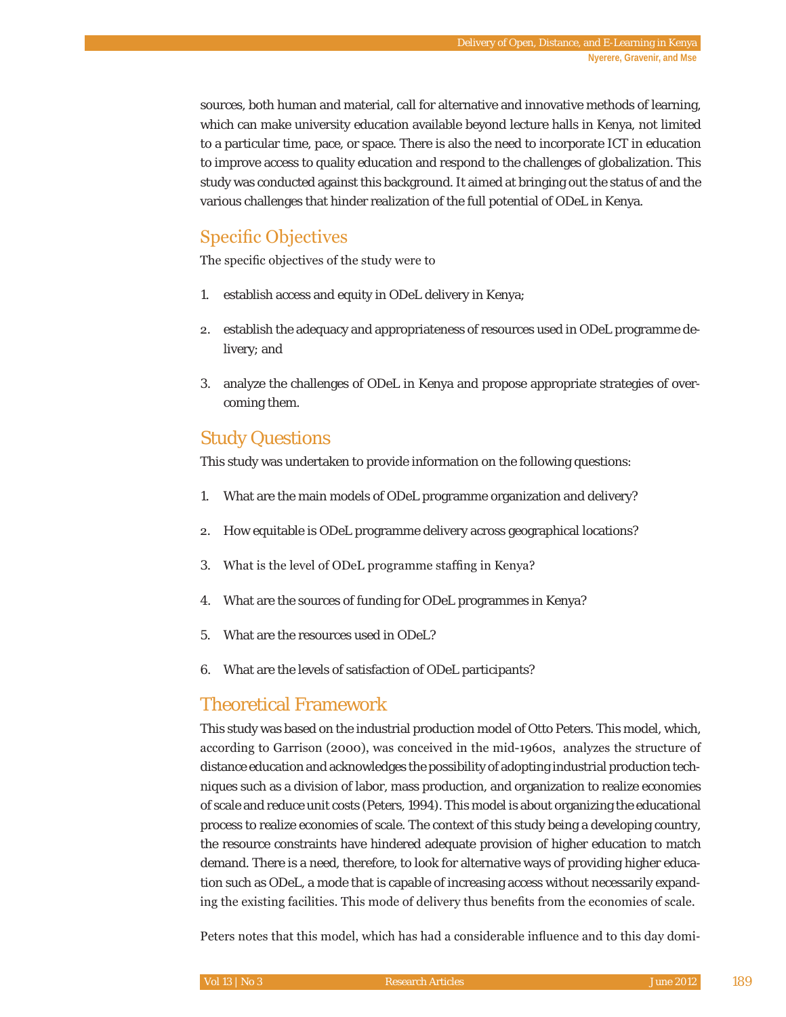sources, both human and material, call for alternative and innovative methods of learning, which can make university education available beyond lecture halls in Kenya, not limited to a particular time, pace, or space. There is also the need to incorporate ICT in education to improve access to quality education and respond to the challenges of globalization. This study was conducted against this background. It aimed at bringing out the status of and the various challenges that hinder realization of the full potential of ODeL in Kenya.

# Specific Objectives

The specific objectives of the study were to

- 1. establish access and equity in ODeL delivery in Kenya;
- establish the adequacy and appropriateness of resources used in ODeL programme delivery; and
- 3. analyze the challenges of ODeL in Kenya and propose appropriate strategies of overcoming them.

# Study Questions

This study was undertaken to provide information on the following questions:

- 1. What are the main models of ODeL programme organization and delivery?
- 2. How equitable is ODeL programme delivery across geographical locations?
- 3. What is the level of ODeL programme staffing in Kenya?
- 4. What are the sources of funding for ODeL programmes in Kenya?
- 5. What are the resources used in ODeL?
- 6. What are the levels of satisfaction of ODeL participants?

# Theoretical Framework

This study was based on the industrial production model of Otto Peters. This model, which, according to Garrison (2000), was conceived in the mid-1960s, analyzes the structure of distance education and acknowledges the possibility of adopting industrial production techniques such as a division of labor, mass production, and organization to realize economies of scale and reduce unit costs (Peters, 1994). This model is about organizing the educational process to realize economies of scale. The context of this study being a developing country, the resource constraints have hindered adequate provision of higher education to match demand. There is a need, therefore, to look for alternative ways of providing higher education such as ODeL, a mode that is capable of increasing access without necessarily expanding the existing facilities. This mode of delivery thus benefits from the economies of scale.

Peters notes that this model, which has had a considerable influence and to this day domi-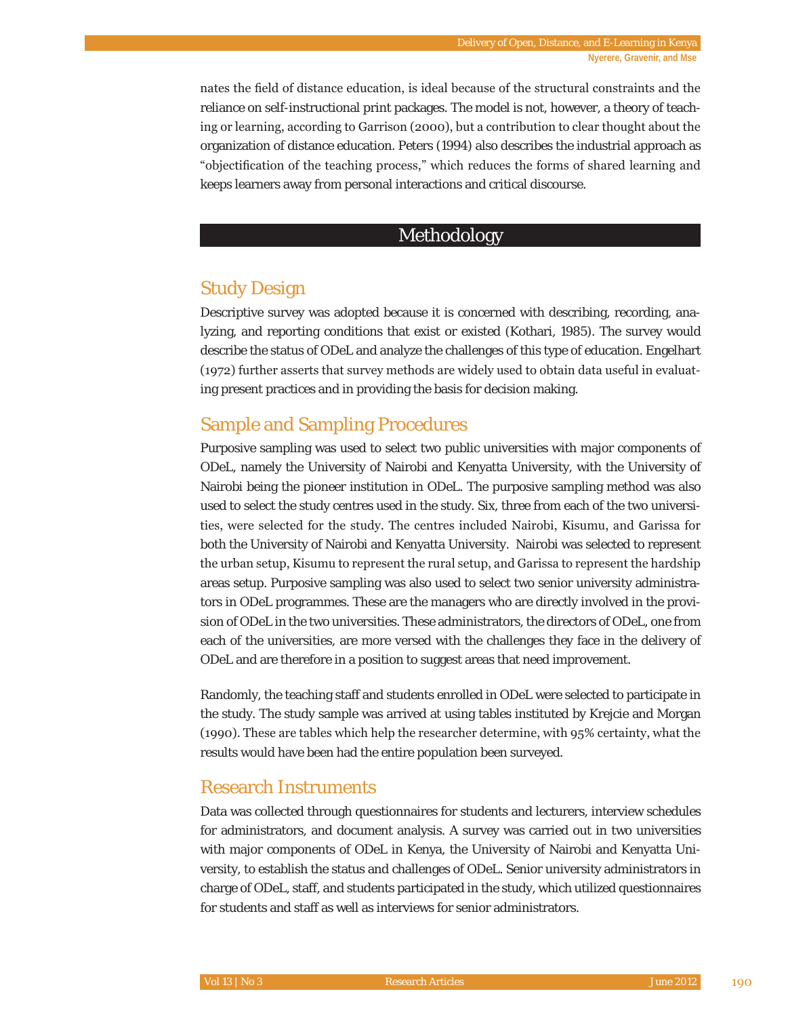nates the field of distance education, is ideal because of the structural constraints and the reliance on self-instructional print packages. The model is not, however, a theory of teaching or learning, according to Garrison (2000), but a contribution to clear thought about the organization of distance education. Peters (1994) also describes the industrial approach as "objectification of the teaching process," which reduces the forms of shared learning and keeps learners away from personal interactions and critical discourse.

### Methodology

# Study Design

Descriptive survey was adopted because it is concerned with describing, recording, analyzing, and reporting conditions that exist or existed (Kothari, 1985). The survey would describe the status of ODeL and analyze the challenges of this type of education. Engelhart  $(1972)$  further asserts that survey methods are widely used to obtain data useful in evaluating present practices and in providing the basis for decision making.

# Sample and Sampling Procedures

Purposive sampling was used to select two public universities with major components of ODeL, namely the University of Nairobi and Kenyatta University, with the University of Nairobi being the pioneer institution in ODeL. The purposive sampling method was also used to select the study centres used in the study. Six, three from each of the two universities, were selected for the study. The centres included Nairobi, Kisumu, and Garissa for both the University of Nairobi and Kenyatta University. Nairobi was selected to represent the urban setup, Kisumu to represent the rural setup, and Garissa to represent the hardship areas setup. Purposive sampling was also used to select two senior university administrators in ODeL programmes. These are the managers who are directly involved in the provision of ODeL in the two universities. These administrators, the directors of ODeL, one from each of the universities, are more versed with the challenges they face in the delivery of ODeL and are therefore in a position to suggest areas that need improvement.

Randomly, the teaching staff and students enrolled in ODeL were selected to participate in the study. The study sample was arrived at using tables instituted by Krejcie and Morgan  $(1990)$ . These are tables which help the researcher determine, with  $95\%$  certainty, what the results would have been had the entire population been surveyed.

### Research Instruments

Data was collected through questionnaires for students and lecturers, interview schedules for administrators, and document analysis. A survey was carried out in two universities with major components of ODeL in Kenya, the University of Nairobi and Kenyatta University, to establish the status and challenges of ODeL. Senior university administrators in charge of ODeL, staff, and students participated in the study, which utilized questionnaires for students and staff as well as interviews for senior administrators.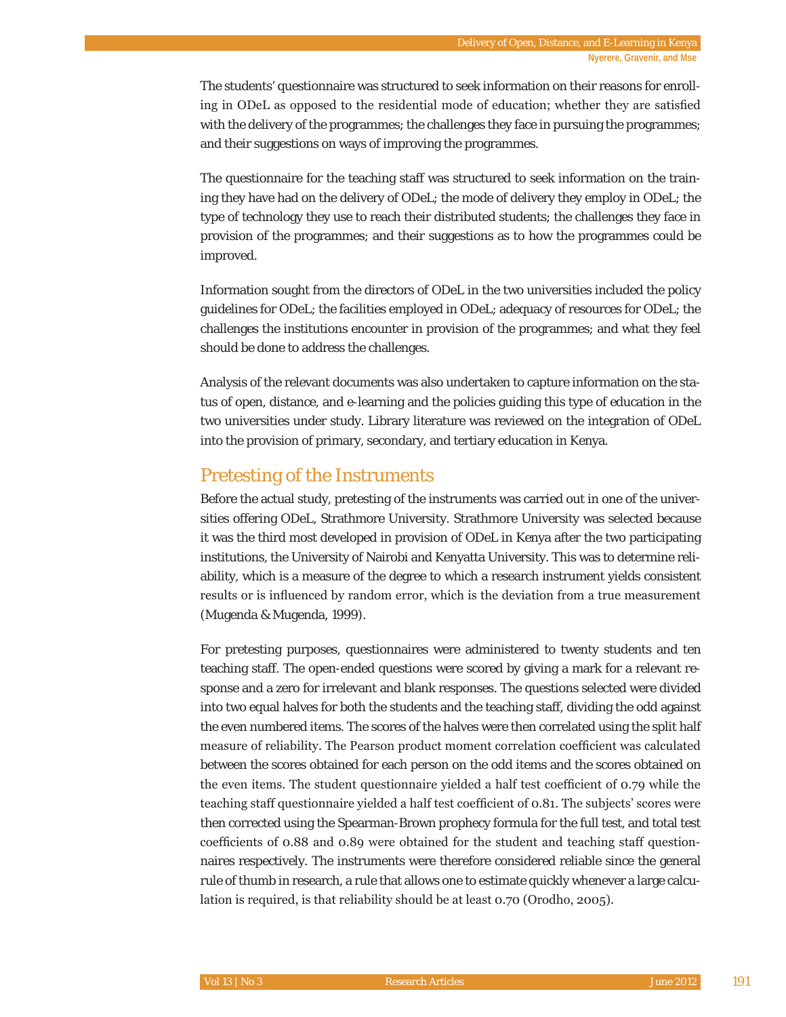The students' questionnaire was structured to seek information on their reasons for enrolling in ODeL as opposed to the residential mode of education; whether they are satisfied with the delivery of the programmes; the challenges they face in pursuing the programmes; and their suggestions on ways of improving the programmes.

The questionnaire for the teaching staff was structured to seek information on the training they have had on the delivery of ODeL; the mode of delivery they employ in ODeL; the type of technology they use to reach their distributed students; the challenges they face in provision of the programmes; and their suggestions as to how the programmes could be improved.

Information sought from the directors of ODeL in the two universities included the policy guidelines for ODeL; the facilities employed in ODeL; adequacy of resources for ODeL; the challenges the institutions encounter in provision of the programmes; and what they feel should be done to address the challenges.

Analysis of the relevant documents was also undertaken to capture information on the status of open, distance, and e-learning and the policies guiding this type of education in the two universities under study. Library literature was reviewed on the integration of ODeL into the provision of primary, secondary, and tertiary education in Kenya.

# Pretesting of the Instruments

Before the actual study, pretesting of the instruments was carried out in one of the universities offering ODeL, Strathmore University. Strathmore University was selected because it was the third most developed in provision of ODeL in Kenya after the two participating institutions, the University of Nairobi and Kenyatta University. This was to determine reliability, which is a measure of the degree to which a research instrument yields consistent results or is influenced by random error, which is the deviation from a true measurement (Mugenda & Mugenda, 1999).

For pretesting purposes, questionnaires were administered to twenty students and ten teaching staff. The open-ended questions were scored by giving a mark for a relevant response and a zero for irrelevant and blank responses. The questions selected were divided into two equal halves for both the students and the teaching staff, dividing the odd against the even numbered items. The scores of the halves were then correlated using the split half measure of reliability. The Pearson product moment correlation coefficient was calculated between the scores obtained for each person on the odd items and the scores obtained on the even items. The student questionnaire yielded a half test coefficient of 0.79 while the teaching staff questionnaire yielded a half test coefficient of 0.81. The subjects' scores were then corrected using the Spearman-Brown prophecy formula for the full test, and total test coefficients of 0.88 and 0.89 were obtained for the student and teaching staff questionnaires respectively. The instruments were therefore considered reliable since the general rule of thumb in research, a rule that allows one to estimate quickly whenever a large calculation is required, is that reliability should be at least  $0.70$  (Orodho,  $2005$ ).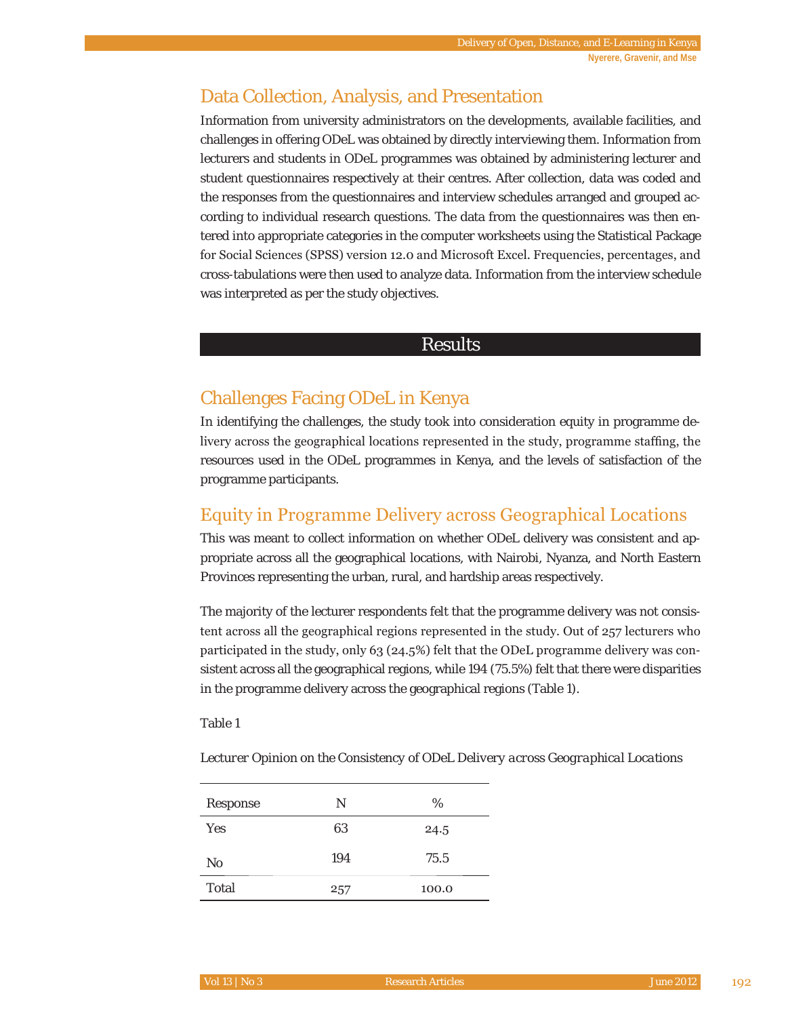# Data Collection, Analysis, and Presentation

Information from university administrators on the developments, available facilities, and challenges in offering ODeL was obtained by directly interviewing them. Information from lecturers and students in ODeL programmes was obtained by administering lecturer and student questionnaires respectively at their centres. After collection, data was coded and the responses from the questionnaires and interview schedules arranged and grouped according to individual research questions. The data from the questionnaires was then entered into appropriate categories in the computer worksheets using the Statistical Package for Social Sciences (SPSS) version 12.0 and Microsoft Excel. Frequencies, percentages, and cross-tabulations were then used to analyze data. Information from the interview schedule was interpreted as per the study objectives.

#### Results

# Challenges Facing ODeL in Kenya

In identifying the challenges, the study took into consideration equity in programme delivery across the geographical locations represented in the study, programme staffing, the resources used in the ODeL programmes in Kenya, and the levels of satisfaction of the programme participants.

# Equity in Programme Delivery across Geographical Locations

This was meant to collect information on whether ODeL delivery was consistent and appropriate across all the geographical locations, with Nairobi, Nyanza, and North Eastern Provinces representing the urban, rural, and hardship areas respectively.

The majority of the lecturer respondents felt that the programme delivery was not consistent across all the geographical regions represented in the study. Out of  $257$  lecturers who participated in the study, only 63 (24.5%) felt that the ODeL programme delivery was consistent across all the geographical regions, while 194 (75.5%) felt that there were disparities in the programme delivery across the geographical regions (Table 1).

Table 1

*Lecturer Opinion on the Consistency of ODeL Delivery across Geographical Locations* 

| Response | Ν   | %     |
|----------|-----|-------|
| Yes      | 63  | 24.5  |
| No       | 194 | 75.5  |
| Total    | 257 | 100.0 |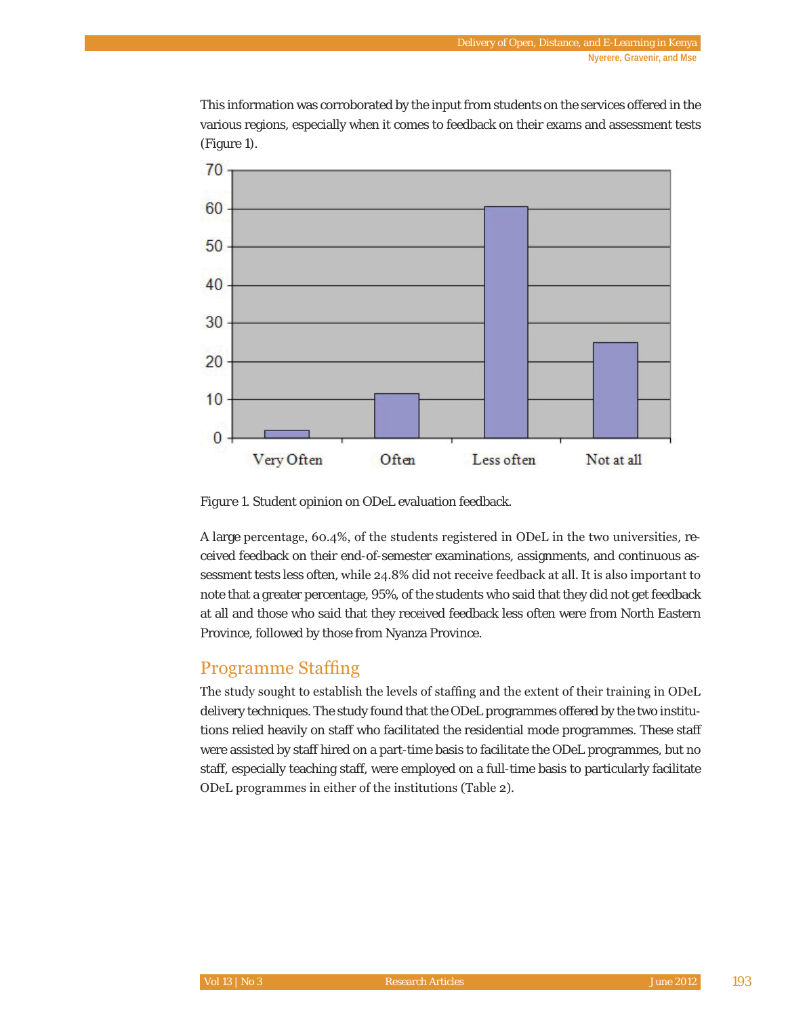This information was corroborated by the input from students on the services offered in the various regions, especially when it comes to feedback on their exams and assessment tests (Figure 1).



*Figure 1*. Student opinion on ODeL evaluation feedback.

A large percentage, 60.4%, of the students registered in ODeL in the two universities, received feedback on their end-of-semester examinations, assignments, and continuous assessment tests less often, while 24.8% did not receive feedback at all. It is also important to note that a greater percentage, 95%, of the students who said that they did not get feedback at all and those who said that they received feedback less often were from North Eastern Province, followed by those from Nyanza Province.

### Programme Staffing

The study sought to establish the levels of staffing and the extent of their training in ODeL delivery techniques. The study found that the ODeL programmes offered by the two institutions relied heavily on staff who facilitated the residential mode programmes. These staff were assisted by staff hired on a part-time basis to facilitate the ODeL programmes, but no staff, especially teaching staff, were employed on a full-time basis to particularly facilitate ODeL programmes in either of the institutions (Table 2).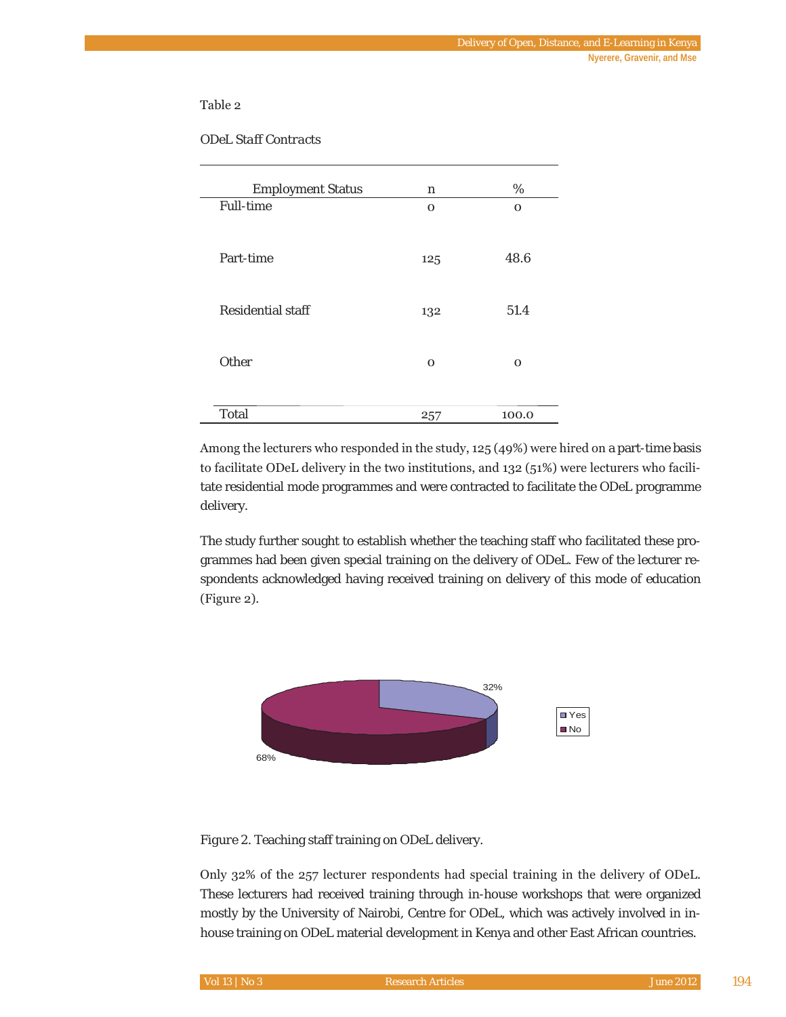#### Table 2

| <b>Employment Status</b> | n   | %     |
|--------------------------|-----|-------|
| Full-time                | O   | O     |
| Part-time                | 125 | 48.6  |
| Residential staff        | 132 | 51.4  |
| Other                    | O   | O     |
| Total                    | 257 | 100.0 |

*ODeL Staff Contracts*

Among the lecturers who responded in the study,  $125(49%)$  were hired on a part-time basis to facilitate ODeL delivery in the two institutions, and 132 (51%) were lecturers who facilitate residential mode programmes and were contracted to facilitate the ODeL programme delivery.

The study further sought to establish whether the teaching staff who facilitated these programmes had been given special training on the delivery of ODeL. Few of the lecturer respondents acknowledged having received training on delivery of this mode of education  $(Figure 2)$ .



*Figure 2*. Teaching staff training on ODeL delivery.

Only 32% of the 257 lecturer respondents had special training in the delivery of ODeL. These lecturers had received training through in-house workshops that were organized mostly by the University of Nairobi, Centre for ODeL, which was actively involved in inhouse training on ODeL material development in Kenya and other East African countries.

| $Vol13$   No 3 | 'Research Articles. | <b>June 2012</b> |  |
|----------------|---------------------|------------------|--|
|                |                     |                  |  |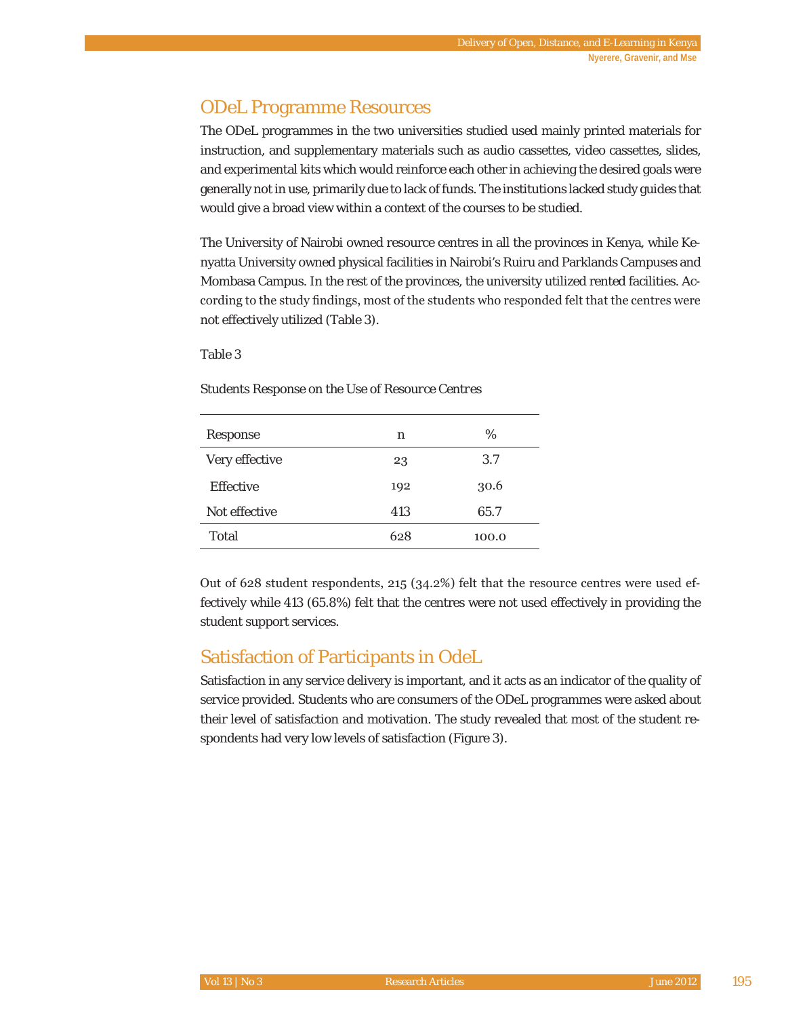# ODeL Programme Resources

The ODeL programmes in the two universities studied used mainly printed materials for instruction, and supplementary materials such as audio cassettes, video cassettes, slides, and experimental kits which would reinforce each other in achieving the desired goals were generally not in use, primarily due to lack of funds. The institutions lacked study guides that would give a broad view within a context of the courses to be studied.

The University of Nairobi owned resource centres in all the provinces in Kenya, while Kenyatta University owned physical facilities in Nairobi's Ruiru and Parklands Campuses and Mombasa Campus. In the rest of the provinces, the university utilized rented facilities. According to the study findings, most of the students who responded felt that the centres were not effectively utilized (Table 3).

#### Table 3

*Students Response on the Use of Resource Centres* 

| Response       | n   | %     |
|----------------|-----|-------|
| Very effective | 23  | 3.7   |
| Effective      | 192 | 30.6  |
| Not effective  | 413 | 65.7  |
| Total          | 628 | 100.0 |

Out of 628 student respondents,  $215$  (34.2%) felt that the resource centres were used effectively while 413 (65.8%) felt that the centres were not used effectively in providing the student support services.

# Satisfaction of Participants in OdeL

Satisfaction in any service delivery is important, and it acts as an indicator of the quality of service provided. Students who are consumers of the ODeL programmes were asked about their level of satisfaction and motivation. The study revealed that most of the student respondents had very low levels of satisfaction (Figure 3).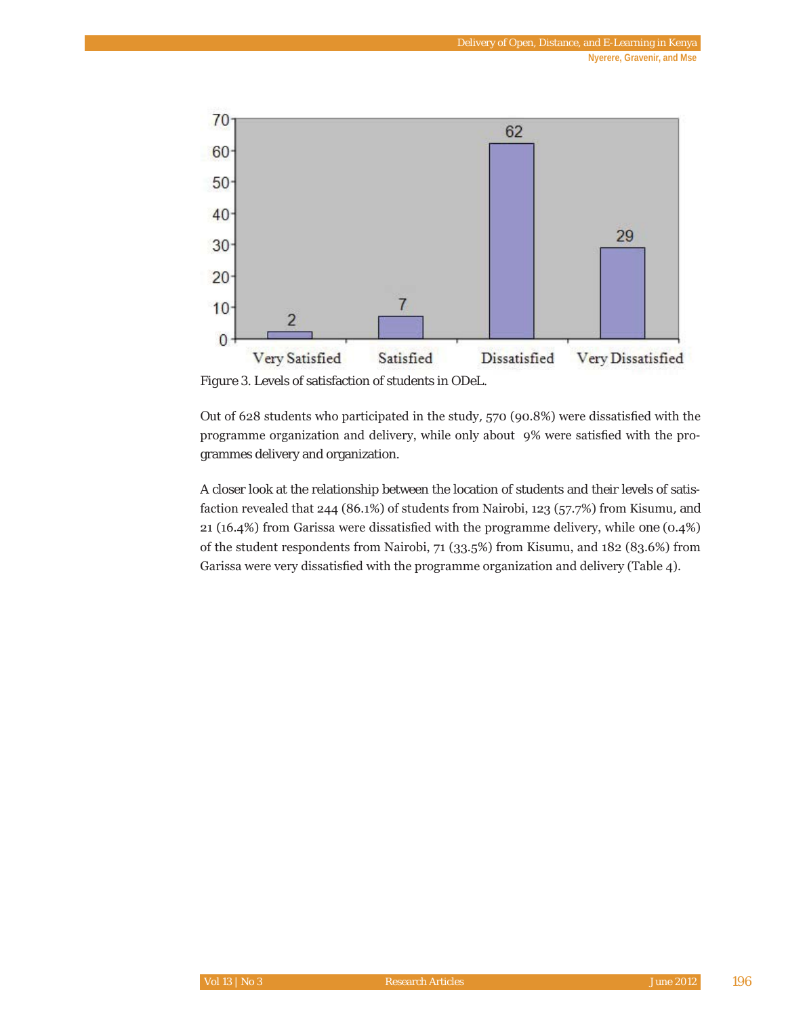

*Figure 3*. Levels of satisfaction of students in ODeL.

Out of 628 students who participated in the study, 570 (90.8%) were dissatisfied with the programme organization and delivery, while only about 9% were satisfied with the programmes delivery and organization.

A closer look at the relationship between the location of students and their levels of satisfaction revealed that  $244$  (86.1%) of students from Nairobi, 123 (57.7%) from Kisumu, and 21 (16.4%) from Garissa were dissatisfied with the programme delivery, while one  $(0.4\%)$ of the student respondents from Nairobi, 71 (33.5%) from Kisumu, and 182 (83.6%) from Garissa were very dissatisfied with the programme organization and delivery (Table 4).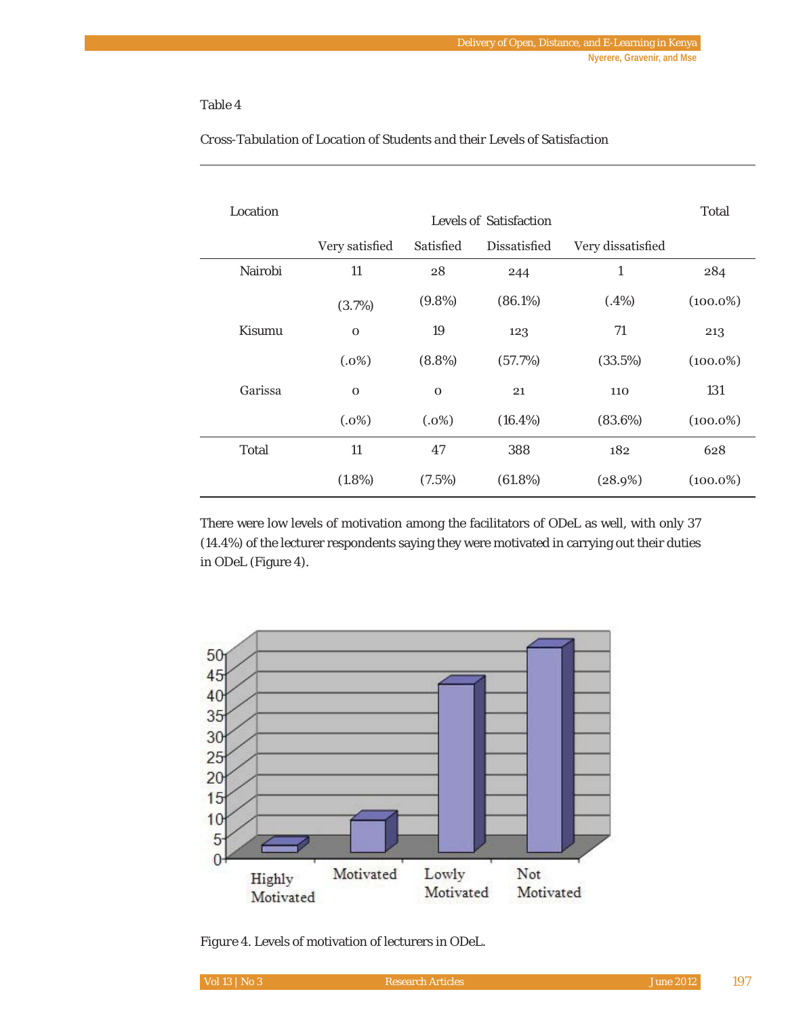#### Table 4

| Location | Levels of Satisfaction |             |              |                   |             |
|----------|------------------------|-------------|--------------|-------------------|-------------|
|          | Very satisfied         | Satisfied   | Dissatisfied | Very dissatisfied |             |
| Nairobi  | 11                     | 28          | 244          | 1                 | 284         |
|          | (3.7%)                 | $(9.8\%)$   | (86.1%)      | (.4%)             | $(100.0\%)$ |
| Kisumu   | $\mathbf 0$            | 19          | 123          | 71                | 213         |
|          | (.0%)                  | $(8.8\%)$   | (57.7%)      | (33.5%)           | $(100.0\%)$ |
| Garissa  | $\mathbf 0$            | $\mathbf 0$ | 21           | 110               | 131         |
|          | (.0%)                  | (.0%)       | $(16.4\%)$   | (83.6%)           | $(100.0\%)$ |
| Total    | 11                     | 47          | 388          | 182               | 628         |
|          | $(1.8\%)$              | (7.5%)      | (61.8%)      | (28.9%)           | $(100.0\%)$ |

#### *Cross-Tabulation of Location of Students and their Levels of Satisfaction*

There were low levels of motivation among the facilitators of ODeL as well, with only 37 (14.4%) of the lecturer respondents saying they were motivated in carrying out their duties in ODeL (Figure 4).



*Figure 4*. Levels of motivation of lecturers in ODeL.

| Vol 13   No 3 | Research Articles' | <b>June 2012</b> |  |
|---------------|--------------------|------------------|--|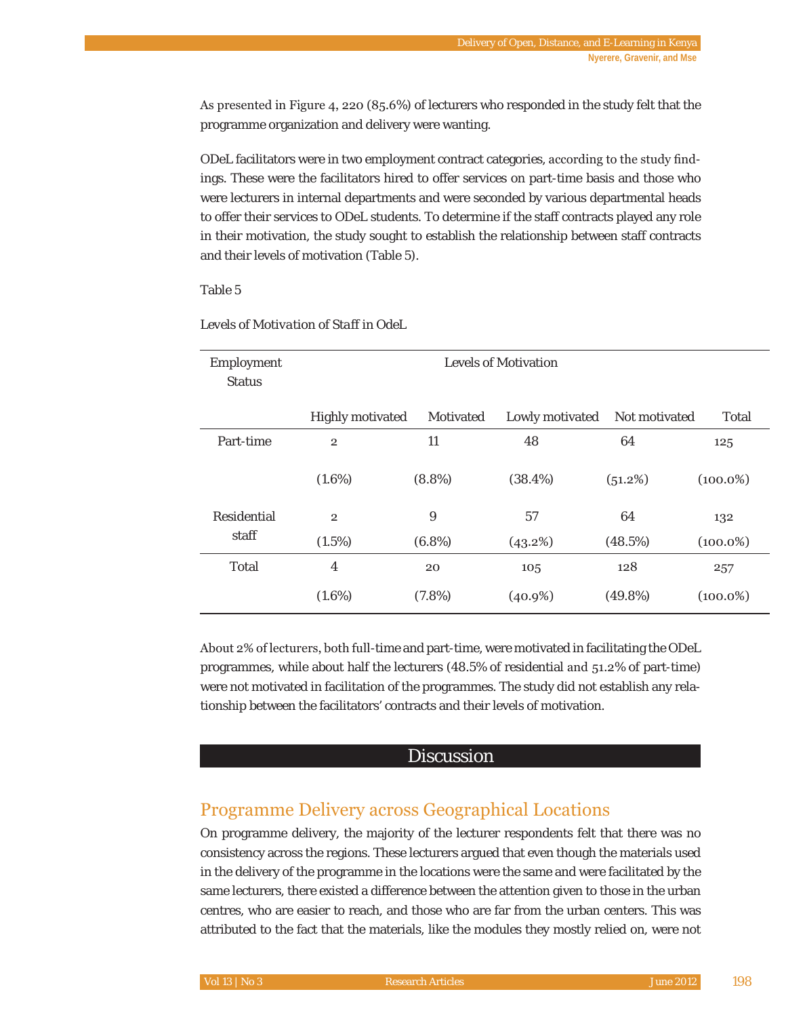As presented in Figure 4, 220 (85.6%) of lecturers who responded in the study felt that the programme organization and delivery were wanting.

ODeL facilitators were in two employment contract categories, according to the study findings. These were the facilitators hired to offer services on part-time basis and those who were lecturers in internal departments and were seconded by various departmental heads to offer their services to ODeL students. To determine if the staff contracts played any role in their motivation, the study sought to establish the relationship between staff contracts and their levels of motivation (Table 5).

#### Table 5

| Employment<br><b>Status</b> | Levels of Motivation |           |                 |               |             |
|-----------------------------|----------------------|-----------|-----------------|---------------|-------------|
|                             | Highly motivated     | Motivated | Lowly motivated | Not motivated | Total       |
| Part-time                   | $\overline{2}$       | 11        | 48              | 64            | 125         |
|                             | $(1.6\%)$            | $(8.8\%)$ | (38.4%)         | (51.2%)       | $(100.0\%)$ |
| Residential                 | $\overline{2}$       | 9         | 57              | 64            | 132         |
| staff                       | (1.5%)               | $(6.8\%)$ | (43.2%)         | (48.5%)       | $(100.0\%)$ |
| Total                       | 4                    | 20        | 105             | 128           | 257         |
|                             | $(1.6\%)$            | (7.8%)    | $(40.9\%)$      | $(49.8\%)$    | $(100.0\%)$ |

#### *Levels of Motivation of Staff in OdeL*

About 2% of lecturers, both full-time and part-time, were motivated in facilitating the ODeL programmes, while about half the lecturers  $(48.5\%$  of residential and  $51.2\%$  of part-time) were not motivated in facilitation of the programmes. The study did not establish any relationship between the facilitators' contracts and their levels of motivation.

#### **Discussion**

# Programme Delivery across Geographical Locations

On programme delivery, the majority of the lecturer respondents felt that there was no consistency across the regions. These lecturers argued that even though the materials used in the delivery of the programme in the locations were the same and were facilitated by the same lecturers, there existed a difference between the attention given to those in the urban centres, who are easier to reach, and those who are far from the urban centers. This was attributed to the fact that the materials, like the modules they mostly relied on, were not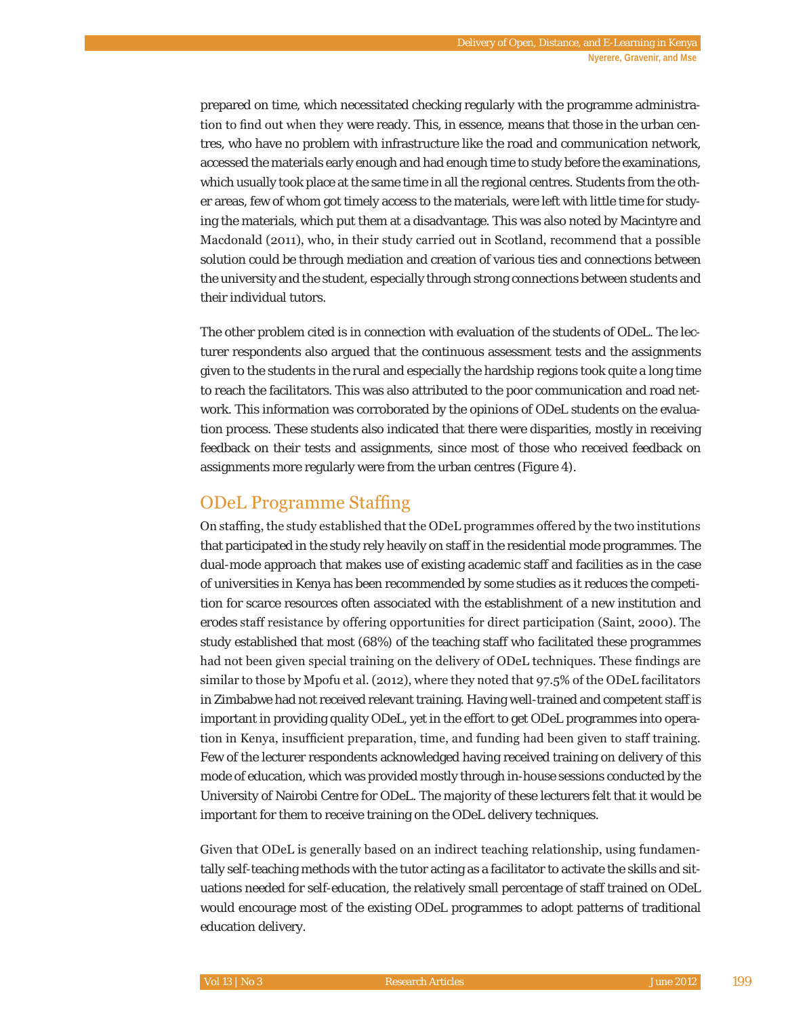prepared on time, which necessitated checking regularly with the programme administration to find out when they were ready. This, in essence, means that those in the urban centres, who have no problem with infrastructure like the road and communication network, accessed the materials early enough and had enough time to study before the examinations, which usually took place at the same time in all the regional centres. Students from the other areas, few of whom got timely access to the materials, were left with little time for studying the materials, which put them at a disadvantage. This was also noted by Macintyre and Macdonald (2011), who, in their study carried out in Scotland, recommend that a possible solution could be through mediation and creation of various ties and connections between the university and the student, especially through strong connections between students and their individual tutors.

The other problem cited is in connection with evaluation of the students of ODeL. The lecturer respondents also argued that the continuous assessment tests and the assignments given to the students in the rural and especially the hardship regions took quite a long time to reach the facilitators. This was also attributed to the poor communication and road network. This information was corroborated by the opinions of ODeL students on the evaluation process. These students also indicated that there were disparities, mostly in receiving feedback on their tests and assignments, since most of those who received feedback on assignments more regularly were from the urban centres (Figure 4).

### ODeL Programme Staffing

On staffing, the study established that the ODeL programmes offered by the two institutions that participated in the study rely heavily on staff in the residential mode programmes. The dual-mode approach that makes use of existing academic staff and facilities as in the case of universities in Kenya has been recommended by some studies as it reduces the competition for scarce resources often associated with the establishment of a new institution and erodes staff resistance by offering opportunities for direct participation (Saint, 2000). The study established that most (68%) of the teaching staff who facilitated these programmes had not been given special training on the delivery of ODeL techniques. These findings are similar to those by Mpofu et al. (2012), where they noted that  $97.5\%$  of the ODeL facilitators in Zimbabwe had not received relevant training. Having well-trained and competent staff is important in providing quality ODeL, yet in the effort to get ODeL programmes into operation in Kenya, insufficient preparation, time, and funding had been given to staff training. Few of the lecturer respondents acknowledged having received training on delivery of this mode of education, which was provided mostly through in-house sessions conducted by the University of Nairobi Centre for ODeL. The majority of these lecturers felt that it would be important for them to receive training on the ODeL delivery techniques.

Given that ODeL is generally based on an indirect teaching relationship, using fundamentally self-teaching methods with the tutor acting as a facilitator to activate the skills and situations needed for self-education, the relatively small percentage of staff trained on ODeL would encourage most of the existing ODeL programmes to adopt patterns of traditional education delivery.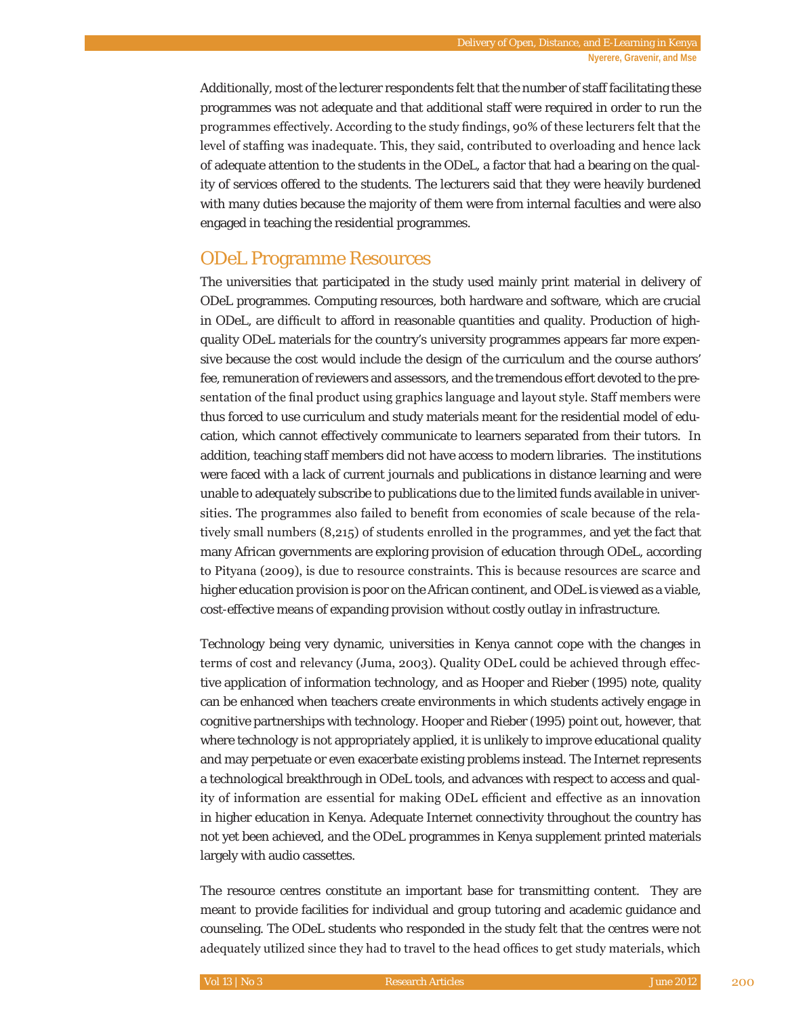Additionally, most of the lecturer respondents felt that the number of staff facilitating these programmes was not adequate and that additional staff were required in order to run the programmes effectively. According to the study findings, 90% of these lecturers felt that the level of staffing was inadequate. This, they said, contributed to overloading and hence lack of adequate attention to the students in the ODeL, a factor that had a bearing on the quality of services offered to the students. The lecturers said that they were heavily burdened with many duties because the majority of them were from internal faculties and were also engaged in teaching the residential programmes.

### ODeL Programme Resources

The universities that participated in the study used mainly print material in delivery of ODeL programmes. Computing resources, both hardware and software, which are crucial in ODeL, are difficult to afford in reasonable quantities and quality. Production of highquality ODeL materials for the country's university programmes appears far more expensive because the cost would include the design of the curriculum and the course authors' fee, remuneration of reviewers and assessors, and the tremendous effort devoted to the presentation of the final product using graphics language and layout style. Staff members were thus forced to use curriculum and study materials meant for the residential model of education, which cannot effectively communicate to learners separated from their tutors. In addition, teaching staff members did not have access to modern libraries. The institutions were faced with a lack of current journals and publications in distance learning and were unable to adequately subscribe to publications due to the limited funds available in universities. The programmes also failed to benefit from economies of scale because of the relatively small numbers  $(8,215)$  of students enrolled in the programmes, and yet the fact that many African governments are exploring provision of education through ODeL, according to Pityana (2009), is due to resource constraints. This is because resources are scarce and higher education provision is poor on the African continent, and ODeL is viewed as a viable, cost-effective means of expanding provision without costly outlay in infrastructure.

Technology being very dynamic, universities in Kenya cannot cope with the changes in terms of cost and relevancy (Juma, 2003). Quality ODeL could be achieved through effective application of information technology, and as Hooper and Rieber (1995) note, quality can be enhanced when teachers create environments in which students actively engage in cognitive partnerships with technology. Hooper and Rieber (1995) point out, however, that where technology is not appropriately applied, it is unlikely to improve educational quality and may perpetuate or even exacerbate existing problems instead. The Internet represents a technological breakthrough in ODeL tools, and advances with respect to access and quality of information are essential for making ODeL efficient and effective as an innovation in higher education in Kenya. Adequate Internet connectivity throughout the country has not yet been achieved, and the ODeL programmes in Kenya supplement printed materials largely with audio cassettes.

The resource centres constitute an important base for transmitting content. They are meant to provide facilities for individual and group tutoring and academic guidance and counseling. The ODeL students who responded in the study felt that the centres were not adequately utilized since they had to travel to the head offices to get study materials, which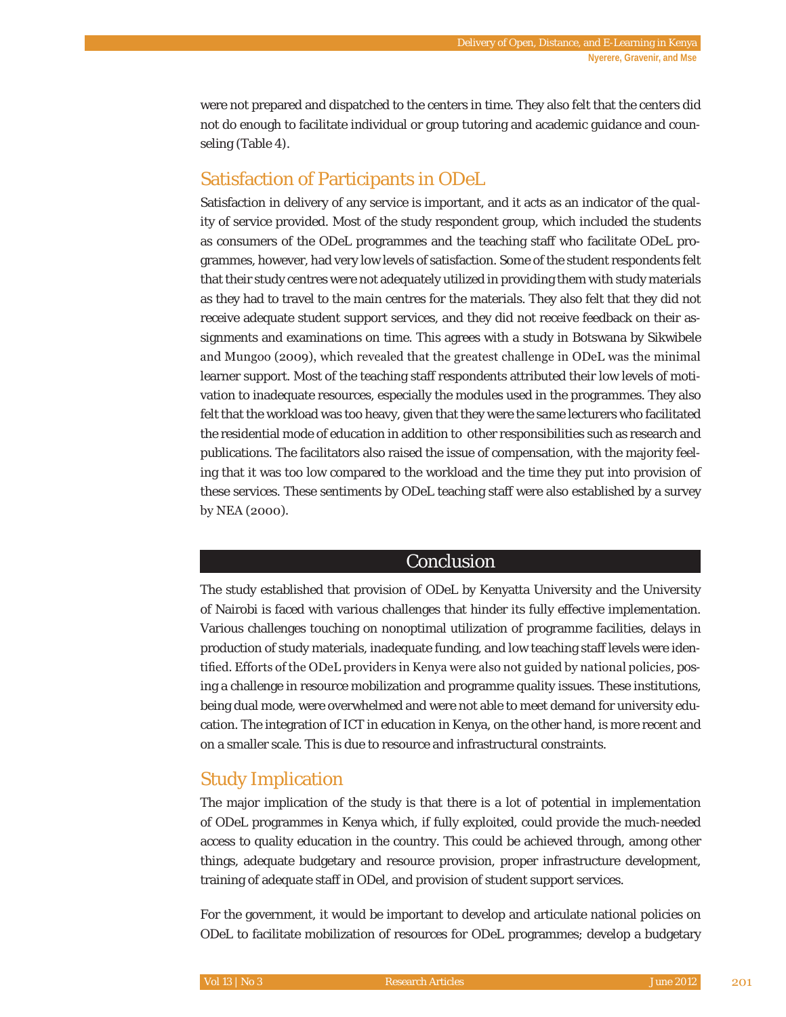were not prepared and dispatched to the centers in time. They also felt that the centers did not do enough to facilitate individual or group tutoring and academic guidance and counseling (Table 4).

# Satisfaction of Participants in ODeL

Satisfaction in delivery of any service is important, and it acts as an indicator of the quality of service provided. Most of the study respondent group, which included the students as consumers of the ODeL programmes and the teaching staff who facilitate ODeL programmes, however, had very low levels of satisfaction. Some of the student respondents felt that their study centres were not adequately utilized in providing them with study materials as they had to travel to the main centres for the materials. They also felt that they did not receive adequate student support services, and they did not receive feedback on their assignments and examinations on time. This agrees with a study in Botswana by Sikwibele and Mungoo (2009), which revealed that the greatest challenge in ODeL was the minimal learner support. Most of the teaching staff respondents attributed their low levels of motivation to inadequate resources, especially the modules used in the programmes. They also felt that the workload was too heavy, given that they were the same lecturers who facilitated the residential mode of education in addition to other responsibilities such as research and publications. The facilitators also raised the issue of compensation, with the majority feeling that it was too low compared to the workload and the time they put into provision of these services. These sentiments by ODeL teaching staff were also established by a survey by NEA  $(2000)$ .

#### Conclusion

The study established that provision of ODeL by Kenyatta University and the University of Nairobi is faced with various challenges that hinder its fully effective implementation. Various challenges touching on nonoptimal utilization of programme facilities, delays in production of study materials, inadequate funding, and low teaching staff levels were identified. Efforts of the ODeL providers in Kenya were also not guided by national policies, posing a challenge in resource mobilization and programme quality issues. These institutions, being dual mode, were overwhelmed and were not able to meet demand for university education. The integration of ICT in education in Kenya, on the other hand, is more recent and on a smaller scale. This is due to resource and infrastructural constraints.

# Study Implication

The major implication of the study is that there is a lot of potential in implementation of ODeL programmes in Kenya which, if fully exploited, could provide the much-needed access to quality education in the country. This could be achieved through, among other things, adequate budgetary and resource provision, proper infrastructure development, training of adequate staff in ODel, and provision of student support services.

For the government, it would be important to develop and articulate national policies on ODeL to facilitate mobilization of resources for ODeL programmes; develop a budgetary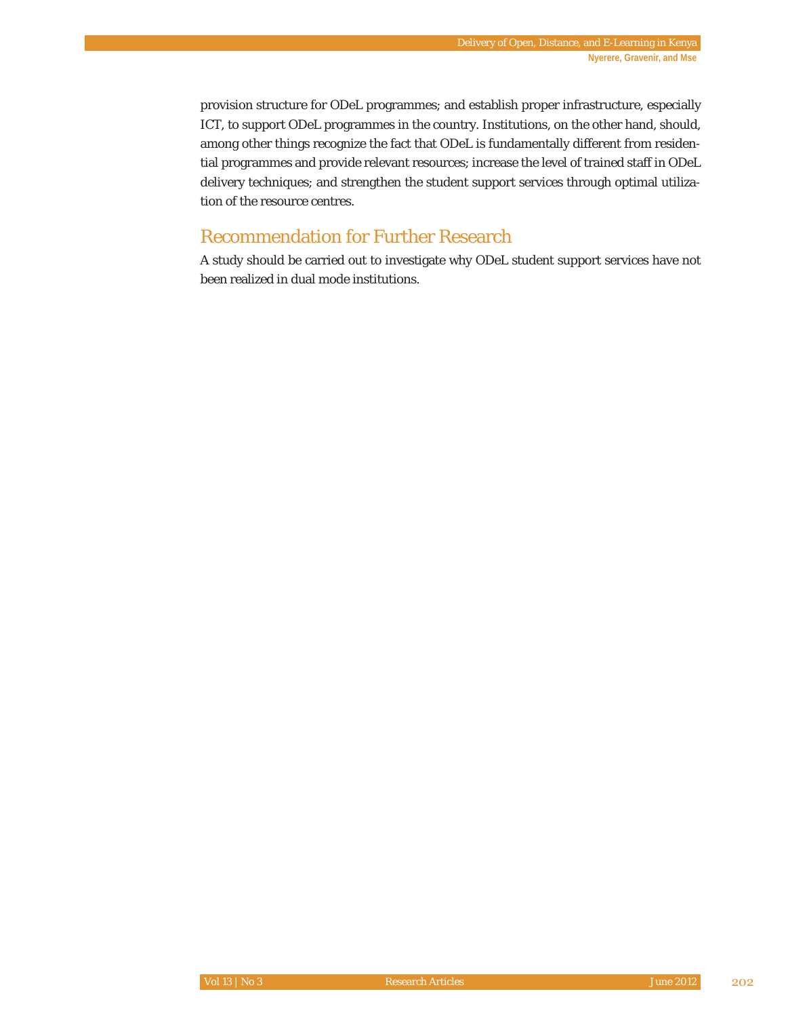provision structure for ODeL programmes; and establish proper infrastructure, especially ICT, to support ODeL programmes in the country. Institutions, on the other hand, should, among other things recognize the fact that ODeL is fundamentally different from residential programmes and provide relevant resources; increase the level of trained staff in ODeL delivery techniques; and strengthen the student support services through optimal utilization of the resource centres.

# Recommendation for Further Research

A study should be carried out to investigate why ODeL student support services have not been realized in dual mode institutions.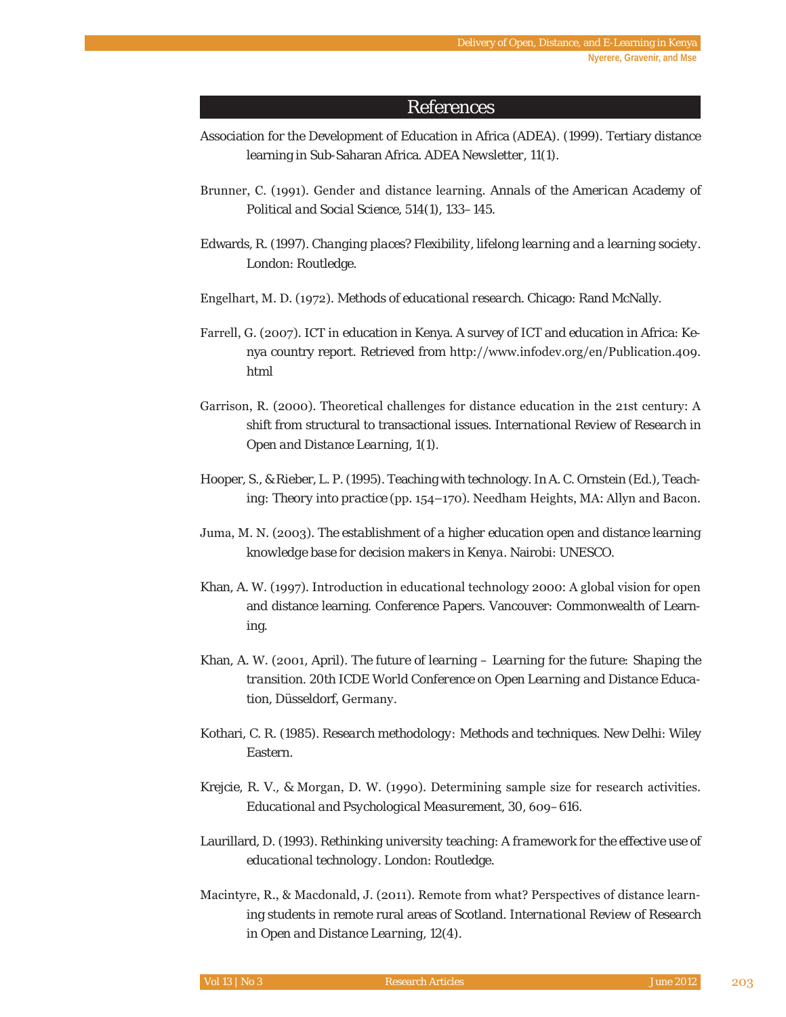#### References

- Association for the Development of Education in Africa (ADEA). (1999). Tertiary distance learning in Sub-Saharan Africa. *ADEA Newsletter, 11*(1).
- Brunner, C. (1991). Gender and distance learning. Annals of the American Academy of Political *and Social Science*, *514*(1), 133–145.
- Edwards, R. (1997). *Changing places? Flexibility, lifelong learning and a learning society*. London: Routledge.
- Engelhart, M. D. (1972). *Methods of educational research*. Chicago: Rand McNally.
- Farrell, G. (2007). ICT in education in Kenya. A survey of ICT and education in Africa: Kenya country report. Retrieved from http://www.infodev.org/en/Publication.409. html
- Garrison, R. (2000). Theoretical challenges for distance education in the 21st century: A shift from structural to transactional issues. *International Review of Research in Open and Distance Learning*, *1*(1).
- Hooper, S., & Rieber, L. P. (1995). Teaching with technology. In A. C. Ornstein (Ed.), *Teaching: Theory into practice* (pp. 154–170). Needham Heights, MA: Allyn and Bacon.
- Juma, M. N. (2003). The establishment of a higher education open and distance learning *knowledge base for decision makers in Kenya*. Nairobi: UNESCO.
- Khan, A. W. (1997). Introduction in educational technology 2000: A global vision for open and distance learning. *Conference Papers*. Vancouver: Commonwealth of Learning.
- Khan, A. W. (2001, April). *The future of learning Learning for the future: Shaping the transition. 20th ICDE World Conference on Open Learning and Distance Education*, Düsseldorf, Germany.
- Kothari, C. R. (1985). *Research methodology: Methods and techniques*. New Delhi: Wiley Eastern.
- Krejcie, R. V., & Morgan, D. W. (1990). Determining sample size for research activities. *Educational and Psychological Measurement, 30, 609–616.*
- Laurillard, D. (1993). *Rethinking university teaching*: *A framework for the effective use of educational technology*. London: Routledge.
- Macintyre, R., & Macdonald, J. (2011). Remote from what? Perspectives of distance learning students in remote rural areas of Scotland*. International Review of Research in Open and Distance Learning*, *12*(4).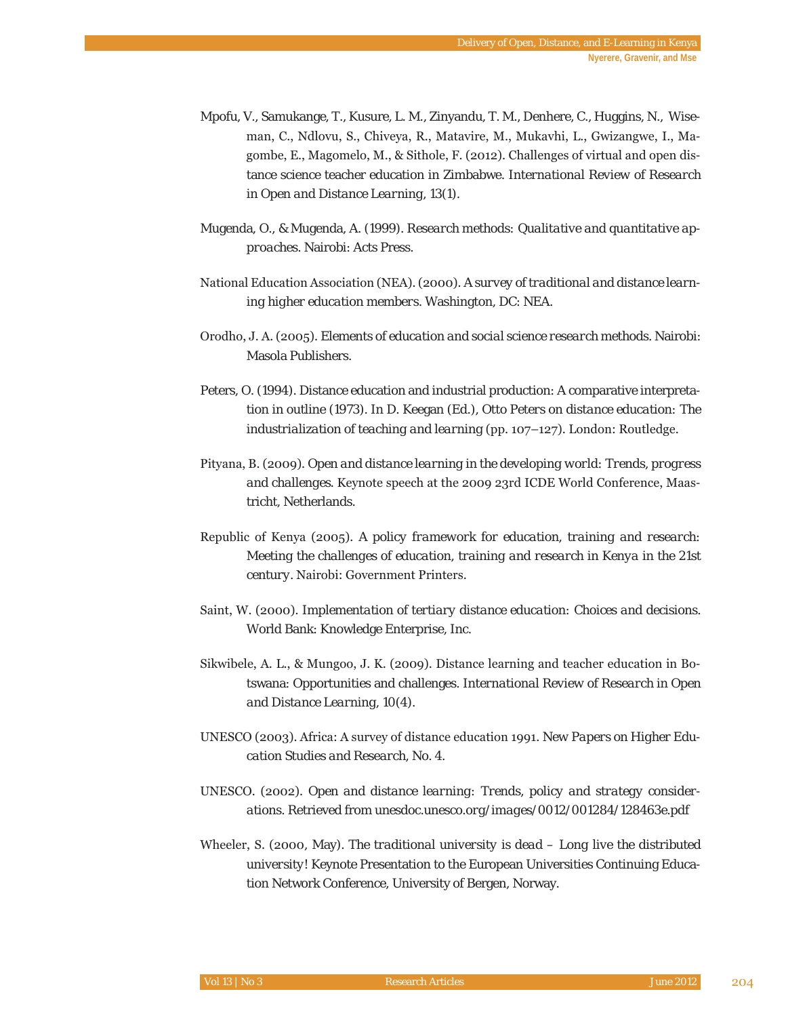- Mpofu, V., Samukange, T., Kusure, L. M., Zinyandu, T. M., Denhere, C., Huggins, N., Wiseman, C., Ndlovu, S., Chiveya, R., Matavire, M., Mukavhi, L., Gwizangwe, I., Magombe, E., Magomelo, M., & Sithole, F. (2012). Challenges of virtual and open distance science teacher education in Zimbabwe. *International Review of Research in Open and Distance Learning*, *13*(1).
- Mugenda, O., & Mugenda, A. (1999). *Research methods: Qualitative and quantitative approaches*. Nairobi: Acts Press.
- National Education Association (NEA). (2000). A survey of traditional and distance learn*ing higher education members*. Washington, DC: NEA.
- Orodho, J. A. (2005). *Elements of education and social science research methods*. Nairobi: Masola Publishers.
- Peters, O. (1994). Distance education and industrial production: A comparative interpretation in outline (1973). In D. Keegan (Ed.), *Otto Peters on distance education: The industrialization of teaching and learning* (pp. 107-127). London: Routledge.
- Pityana, B. (2009). Open and distance learning in the developing world: Trends, progress *and challenges*. Keynote speech at the 2009 23rd ICDE World Conference, Maastricht, Netherlands.
- Republic of Kenya (2005). A policy framework for education, training and research: *Meeting the challenges of education, training and research in Kenya in the 21st century.* Nairobi: Government Printers.
- Saint, W. (2000). *Implementation of tertiary distance education: Choices and decisions.* World Bank: Knowledge Enterprise, Inc.
- Sikwibele, A. L., & Mungoo, J. K. (2009). Distance learning and teacher education in Botswana: Opportunities and challenges. *International Review of Research in Open and Distance Learning*, *10*(4).
- UNESCO (2003). Africa: A survey of distance education 1991. New Papers on Higher Edu*cation Studies and Research, No. 4*.
- UNESCO. (2002). Open and distance learning: Trends, policy and strategy consider*ations.* Retrieved from *unesdoc.unesco.org/images/0012/001284/128463e.pdf*
- Wheeler, S. (2000, May). *The traditional university is dead Long live the distributed university!* Keynote Presentation to the European Universities Continuing Education Network Conference, University of Bergen, Norway.